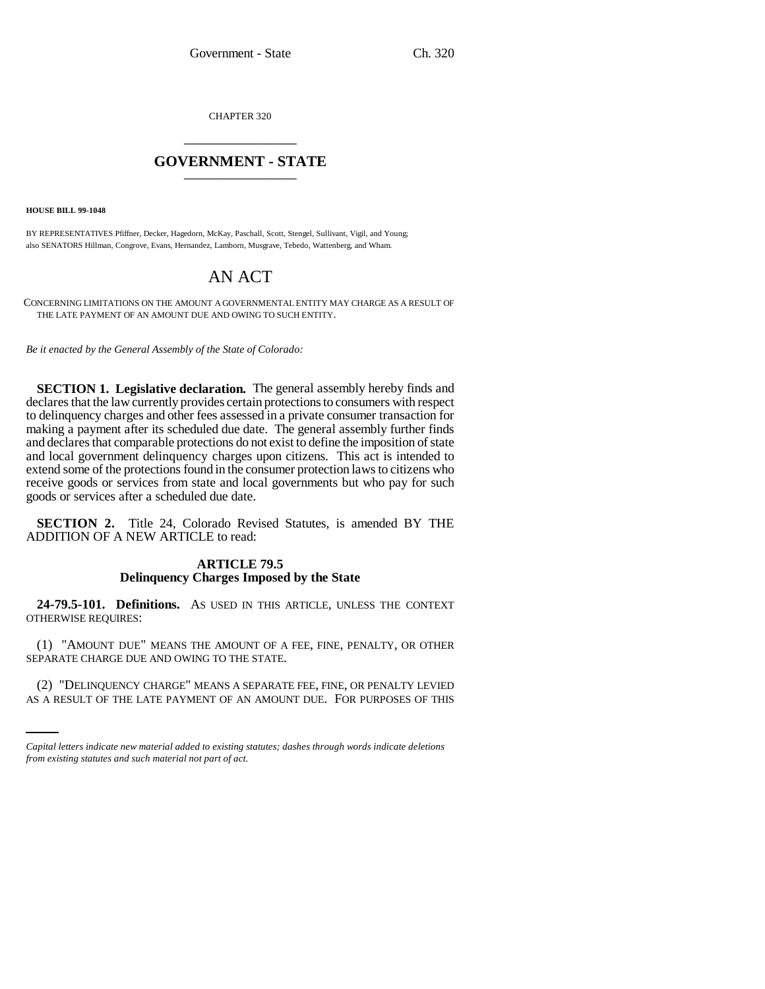CHAPTER 320 \_\_\_\_\_\_\_\_\_\_\_\_\_\_\_

## **GOVERNMENT - STATE** \_\_\_\_\_\_\_\_\_\_\_\_\_\_\_

**HOUSE BILL 99-1048** 

BY REPRESENTATIVES Pfiffner, Decker, Hagedorn, McKay, Paschall, Scott, Stengel, Sullivant, Vigil, and Young; also SENATORS Hillman, Congrove, Evans, Hernandez, Lamborn, Musgrave, Tebedo, Wattenberg, and Wham.

# AN ACT

CONCERNING LIMITATIONS ON THE AMOUNT A GOVERNMENTAL ENTITY MAY CHARGE AS A RESULT OF THE LATE PAYMENT OF AN AMOUNT DUE AND OWING TO SUCH ENTITY.

*Be it enacted by the General Assembly of the State of Colorado:*

**SECTION 1. Legislative declaration.** The general assembly hereby finds and declares that the law currently provides certain protections to consumers with respect to delinquency charges and other fees assessed in a private consumer transaction for making a payment after its scheduled due date. The general assembly further finds and declares that comparable protections do not exist to define the imposition of state and local government delinquency charges upon citizens. This act is intended to extend some of the protections found in the consumer protection laws to citizens who receive goods or services from state and local governments but who pay for such goods or services after a scheduled due date.

**SECTION 2.** Title 24, Colorado Revised Statutes, is amended BY THE ADDITION OF A NEW ARTICLE to read:

### **ARTICLE 79.5 Delinquency Charges Imposed by the State**

**24-79.5-101. Definitions.** AS USED IN THIS ARTICLE, UNLESS THE CONTEXT OTHERWISE REQUIRES:

SEPARATE CHARGE DUE AND OWING TO THE STATE. (1) "AMOUNT DUE" MEANS THE AMOUNT OF A FEE, FINE, PENALTY, OR OTHER

(2) "DELINQUENCY CHARGE" MEANS A SEPARATE FEE, FINE, OR PENALTY LEVIED AS A RESULT OF THE LATE PAYMENT OF AN AMOUNT DUE. FOR PURPOSES OF THIS

*Capital letters indicate new material added to existing statutes; dashes through words indicate deletions from existing statutes and such material not part of act.*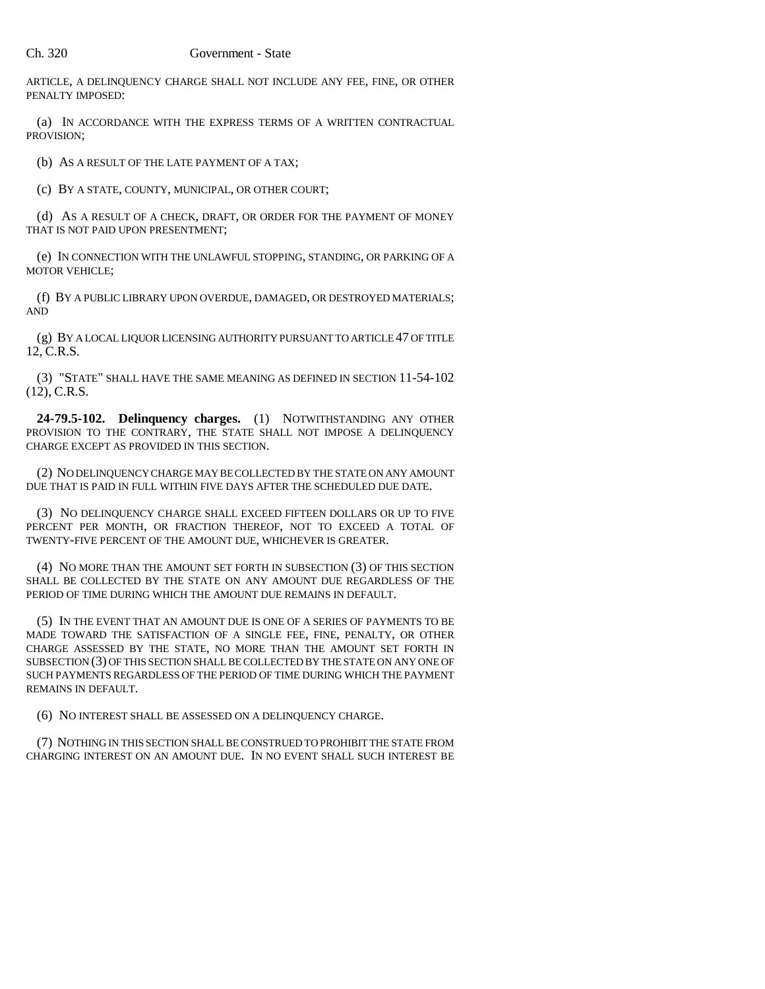#### Ch. 320 Government - State

ARTICLE, A DELINQUENCY CHARGE SHALL NOT INCLUDE ANY FEE, FINE, OR OTHER PENALTY IMPOSED:

(a) IN ACCORDANCE WITH THE EXPRESS TERMS OF A WRITTEN CONTRACTUAL PROVISION;

(b) AS A RESULT OF THE LATE PAYMENT OF A TAX;

(c) BY A STATE, COUNTY, MUNICIPAL, OR OTHER COURT;

(d) AS A RESULT OF A CHECK, DRAFT, OR ORDER FOR THE PAYMENT OF MONEY THAT IS NOT PAID UPON PRESENTMENT;

(e) IN CONNECTION WITH THE UNLAWFUL STOPPING, STANDING, OR PARKING OF A MOTOR VEHICLE;

(f) BY A PUBLIC LIBRARY UPON OVERDUE, DAMAGED, OR DESTROYED MATERIALS; AND

(g) BY A LOCAL LIQUOR LICENSING AUTHORITY PURSUANT TO ARTICLE 47 OF TITLE 12, C.R.S.

(3) "STATE" SHALL HAVE THE SAME MEANING AS DEFINED IN SECTION 11-54-102 (12), C.R.S.

**24-79.5-102. Delinquency charges.** (1) NOTWITHSTANDING ANY OTHER PROVISION TO THE CONTRARY, THE STATE SHALL NOT IMPOSE A DELINQUENCY CHARGE EXCEPT AS PROVIDED IN THIS SECTION.

(2) NO DELINQUENCY CHARGE MAY BE COLLECTED BY THE STATE ON ANY AMOUNT DUE THAT IS PAID IN FULL WITHIN FIVE DAYS AFTER THE SCHEDULED DUE DATE.

(3) NO DELINQUENCY CHARGE SHALL EXCEED FIFTEEN DOLLARS OR UP TO FIVE PERCENT PER MONTH, OR FRACTION THEREOF, NOT TO EXCEED A TOTAL OF TWENTY-FIVE PERCENT OF THE AMOUNT DUE, WHICHEVER IS GREATER.

(4) NO MORE THAN THE AMOUNT SET FORTH IN SUBSECTION (3) OF THIS SECTION SHALL BE COLLECTED BY THE STATE ON ANY AMOUNT DUE REGARDLESS OF THE PERIOD OF TIME DURING WHICH THE AMOUNT DUE REMAINS IN DEFAULT.

(5) IN THE EVENT THAT AN AMOUNT DUE IS ONE OF A SERIES OF PAYMENTS TO BE MADE TOWARD THE SATISFACTION OF A SINGLE FEE, FINE, PENALTY, OR OTHER CHARGE ASSESSED BY THE STATE, NO MORE THAN THE AMOUNT SET FORTH IN SUBSECTION (3) OF THIS SECTION SHALL BE COLLECTED BY THE STATE ON ANY ONE OF SUCH PAYMENTS REGARDLESS OF THE PERIOD OF TIME DURING WHICH THE PAYMENT REMAINS IN DEFAULT.

(6) NO INTEREST SHALL BE ASSESSED ON A DELINQUENCY CHARGE.

(7) NOTHING IN THIS SECTION SHALL BE CONSTRUED TO PROHIBIT THE STATE FROM CHARGING INTEREST ON AN AMOUNT DUE. IN NO EVENT SHALL SUCH INTEREST BE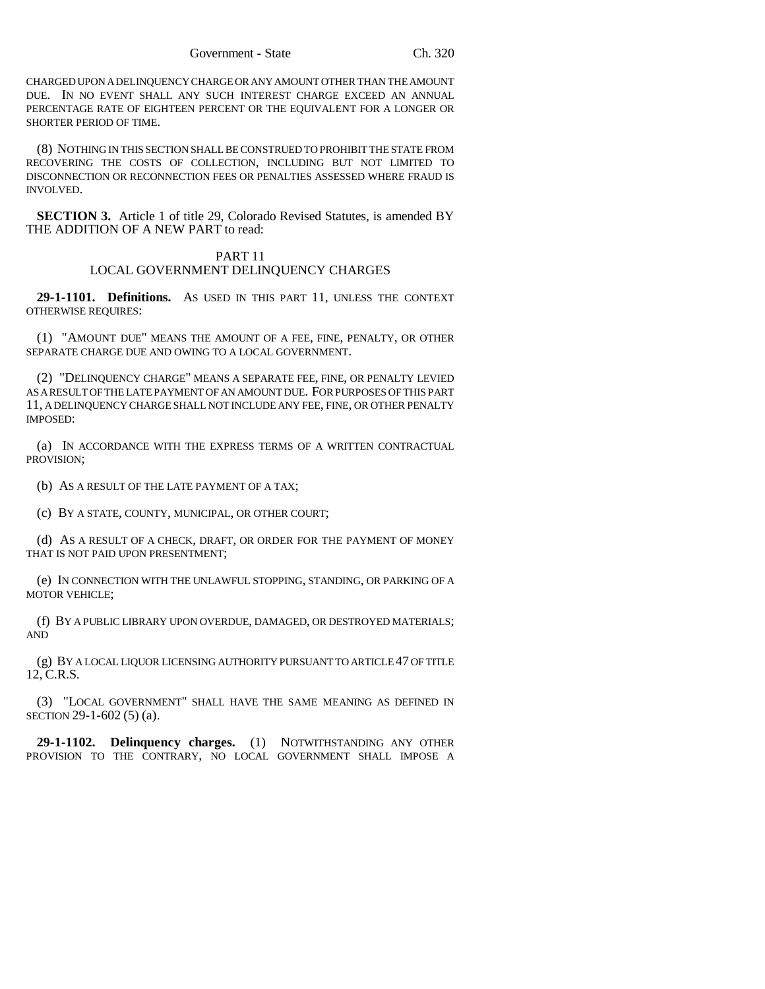CHARGED UPON A DELINQUENCY CHARGE OR ANY AMOUNT OTHER THAN THE AMOUNT DUE. IN NO EVENT SHALL ANY SUCH INTEREST CHARGE EXCEED AN ANNUAL PERCENTAGE RATE OF EIGHTEEN PERCENT OR THE EQUIVALENT FOR A LONGER OR SHORTER PERIOD OF TIME.

(8) NOTHING IN THIS SECTION SHALL BE CONSTRUED TO PROHIBIT THE STATE FROM RECOVERING THE COSTS OF COLLECTION, INCLUDING BUT NOT LIMITED TO DISCONNECTION OR RECONNECTION FEES OR PENALTIES ASSESSED WHERE FRAUD IS INVOLVED.

**SECTION 3.** Article 1 of title 29, Colorado Revised Statutes, is amended BY THE ADDITION OF A NEW PART to read:

#### PART 11 LOCAL GOVERNMENT DELINQUENCY CHARGES

**29-1-1101. Definitions.** AS USED IN THIS PART 11, UNLESS THE CONTEXT OTHERWISE REQUIRES:

(1) "AMOUNT DUE" MEANS THE AMOUNT OF A FEE, FINE, PENALTY, OR OTHER SEPARATE CHARGE DUE AND OWING TO A LOCAL GOVERNMENT.

(2) "DELINQUENCY CHARGE" MEANS A SEPARATE FEE, FINE, OR PENALTY LEVIED AS A RESULT OF THE LATE PAYMENT OF AN AMOUNT DUE. FOR PURPOSES OF THIS PART 11, A DELINQUENCY CHARGE SHALL NOT INCLUDE ANY FEE, FINE, OR OTHER PENALTY IMPOSED:

(a) IN ACCORDANCE WITH THE EXPRESS TERMS OF A WRITTEN CONTRACTUAL PROVISION;

(b) AS A RESULT OF THE LATE PAYMENT OF A TAX;

(c) BY A STATE, COUNTY, MUNICIPAL, OR OTHER COURT;

(d) AS A RESULT OF A CHECK, DRAFT, OR ORDER FOR THE PAYMENT OF MONEY THAT IS NOT PAID UPON PRESENTMENT;

(e) IN CONNECTION WITH THE UNLAWFUL STOPPING, STANDING, OR PARKING OF A MOTOR VEHICLE;

(f) BY A PUBLIC LIBRARY UPON OVERDUE, DAMAGED, OR DESTROYED MATERIALS; AND

(g) BY A LOCAL LIQUOR LICENSING AUTHORITY PURSUANT TO ARTICLE 47 OF TITLE 12, C.R.S.

(3) "LOCAL GOVERNMENT" SHALL HAVE THE SAME MEANING AS DEFINED IN SECTION 29-1-602 (5) (a).

**29-1-1102. Delinquency charges.** (1) NOTWITHSTANDING ANY OTHER PROVISION TO THE CONTRARY, NO LOCAL GOVERNMENT SHALL IMPOSE A